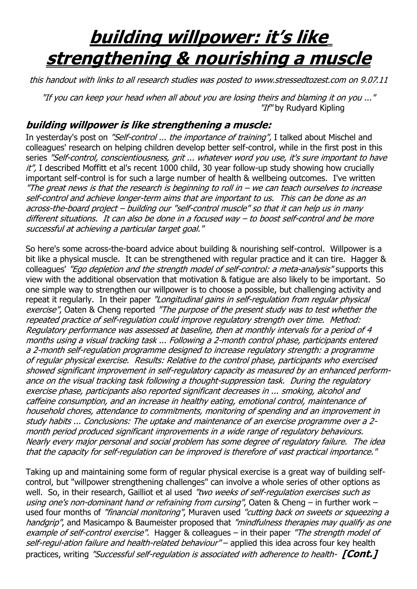## **building willpower: it's like strengthening & nourishing a muscle**

this handout with links to all research studies was posted to www.stressedtozest.com on 9.07.11

"If you can keep your head when all about you are losing theirs and blaming it on you ..." "If" by Rudvard Kipling

## **building willpower is like strengthening a muscle:**

In yesterday's post on "Self-control ... the importance of training", I talked about Mischel and colleagues' research on helping children develop better self-control, while in the first post in this series "Self-control, conscientiousness, grit ... whatever word you use, it's sure important to have  $it''$ , I described Moffitt et al's recent 1000 child, 30 year follow-up study showing how crucially important self-control is for such a large number of health & wellbeing outcomes. I've written "The great news is that the research is beginning to roll in  $-$  we can teach ourselves to increase self-control and achieve longer-term aims that are important to us. This can be done as an across-the-board project – building our "self-control muscle" so that it can help us in many different situations. It can also be done in a focused way – to boost self-control and be more successful at achieving a particular target goal."

So here's some across-the-board advice about building & nourishing self-control. Willpower is a bit like a physical muscle. It can be strengthened with regular practice and it can tire. Hagger & colleagues' "Ego depletion and the strength model of self-control: a meta-analysis" supports this view with the additional observation that motivation & fatigue are also likely to be important. So one simple way to strengthen our willpower is to choose a possible, but challenging activity and repeat it regularly. In their paper "Longitudinal gains in self-regulation from regular physical exercise", Oaten & Cheng reported "The purpose of the present study was to test whether the repeated practice of self-regulation could improve regulatory strength over time. Method: Regulatory performance was assessed at baseline, then at monthly intervals for a period of 4 months using a visual tracking task ... Following a 2-month control phase, participants entered a 2-month self-regulation programme designed to increase regulatory strength: a programme of regular physical exercise. Results: Relative to the control phase, participants who exercised showed significant improvement in self-regulatory capacity as measured by an enhanced performance on the visual tracking task following a thought-suppression task. During the regulatory exercise phase, participants also reported significant decreases in ... smoking, alcohol and caffeine consumption, and an increase in healthy eating, emotional control, maintenance of household chores, attendance to commitments, monitoring of spending and an improvement in study habits ... Conclusions: The uptake and maintenance of an exercise programme over a 2 month period produced significant improvements in a wide range of regulatory behaviours. Nearly every major personal and social problem has some degree of regulatory failure. The idea that the capacity for self-regulation can be improved is therefore of vast practical importance."

Taking up and maintaining some form of regular physical exercise is a great way of building selfcontrol, but "willpower strengthening challenges" can involve a whole series of other options as well. So, in their research, Gailliot et al used "two weeks of self-regulation exercises such as using one's non-dominant hand or refraining from cursing", Oaten & Cheng – in further work – used four months of "financial monitoring", Muraven used "cutting back on sweets or squeezing a handgrip", and Masicampo & Baumeister proposed that "mindfulness therapies may qualify as one example of self-control exercise". Hagger & colleagues – in their paper "The strength model of self-regul-ation failure and health-related behaviour" – applied this idea across four key health practices, writing "Successful self-regulation is associated with adherence to health- **[Cont.]**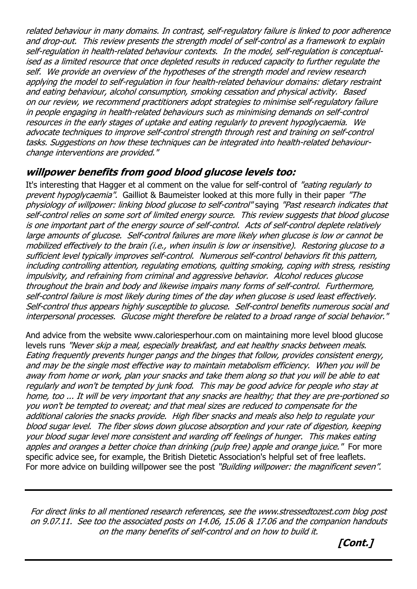related behaviour in many domains. In contrast, self-regulatory failure is linked to poor adherence and drop-out. This review presents the strength model of self-control as a framework to explain self-regulation in health-related behaviour contexts. In the model, self-regulation is conceptualised as a limited resource that once depleted results in reduced capacity to further regulate the self. We provide an overview of the hypotheses of the strength model and review research applying the model to self-regulation in four health-related behaviour domains: dietary restraint and eating behaviour, alcohol consumption, smoking cessation and physical activity. Based on our review, we recommend practitioners adopt strategies to minimise self-regulatory failure in people engaging in health-related behaviours such as minimising demands on self-control resources in the early stages of uptake and eating regularly to prevent hypoglycaemia. We advocate techniques to improve self-control strength through rest and training on self-control tasks. Suggestions on how these techniques can be integrated into health-related behaviourchange interventions are provided."

## **willpower benefits from good blood glucose levels too:**

It's interesting that Hagger et al comment on the value for self-control of "eating regularly to prevent hypoglycaemia". Gailliot & Baumeister looked at this more fully in their paper "The physiology of willpower: linking blood glucose to self-control" saying "Past research indicates that self-control relies on some sort of limited energy source. This review suggests that blood glucose is one important part of the energy source of self-control. Acts of self-control deplete relatively large amounts of glucose. Self-control failures are more likely when glucose is low or cannot be mobilized effectively to the brain (i.e., when insulin is low or insensitive). Restoring glucose to a sufficient level typically improves self-control. Numerous self-control behaviors fit this pattern, including controlling attention, regulating emotions, quitting smoking, coping with stress, resisting impulsivity, and refraining from criminal and aggressive behavior. Alcohol reduces glucose throughout the brain and body and likewise impairs many forms of self-control. Furthermore, self-control failure is most likely during times of the day when glucose is used least effectively. Self-control thus appears highly susceptible to glucose. Self-control benefits numerous social and interpersonal processes. Glucose might therefore be related to a broad range of social behavior."

And advice from the website www.caloriesperhour.com on maintaining more level blood glucose levels runs "Never skip a meal, especially breakfast, and eat healthy snacks between meals. Eating frequently prevents hunger pangs and the binges that follow, provides consistent energy, and may be the single most effective way to maintain metabolism efficiency. When you will be away from home or work, plan your snacks and take them along so that you will be able to eat regularly and won't be tempted by junk food. This may be good advice for people who stay at home, too ... It will be very important that any snacks are healthy; that they are pre-portioned so you won't be tempted to overeat; and that meal sizes are reduced to compensate for the additional calories the snacks provide. High fiber snacks and meals also help to regulate your blood sugar level. The fiber slows down glucose absorption and your rate of digestion, keeping your blood sugar level more consistent and warding off feelings of hunger. This makes eating apples and oranges a better choice than drinking (pulp free) apple and orange juice." For more specific advice see, for example, the British Dietetic Association's helpful set of free leaflets. For more advice on building willpower see the post "Building willpower: the magnificent seven".

For direct links to all mentioned research references, see the www.stressedtozest.com blog post on 9.07.11. See too the associated posts on 14.06, 15.06 & 17.06 and the companion handouts on the many benefits of self-control and on how to build it.

 **[Cont.]**